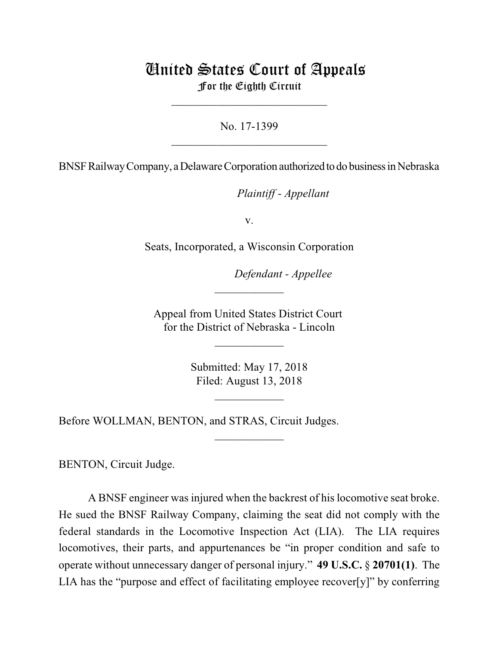## United States Court of Appeals For the Eighth Circuit

No. 17-1399  $\mathcal{L}_\text{max}$  , which is a set of the set of the set of the set of the set of the set of the set of the set of the set of the set of the set of the set of the set of the set of the set of the set of the set of the set of

\_\_\_\_\_\_\_\_\_\_\_\_\_\_\_\_\_\_\_\_\_\_\_\_\_\_\_

BNSF Railway Company, a Delaware Corporation authorized to do business in Nebraska

lllllllllllllllllllll*Plaintiff - Appellant*

v.

Seats, Incorporated, a Wisconsin Corporation

Defendant - Appellee

Appeal from United States District Court for the District of Nebraska - Lincoln

\_\_\_\_\_\_\_\_\_\_\_\_

 $\frac{1}{2}$ 

Submitted: May 17, 2018 Filed: August 13, 2018

 $\frac{1}{2}$ 

\_\_\_\_\_\_\_\_\_\_\_\_

Before WOLLMAN, BENTON, and STRAS, Circuit Judges.

BENTON, Circuit Judge.

A BNSF engineer was injured when the backrest of his locomotive seat broke. He sued the BNSF Railway Company, claiming the seat did not comply with the federal standards in the Locomotive Inspection Act (LIA). The LIA requires locomotives, their parts, and appurtenances be "in proper condition and safe to operate without unnecessary danger of personal injury." **49 U.S.C.** § **20701(1)**. The LIA has the "purpose and effect of facilitating employee recover[y]" by conferring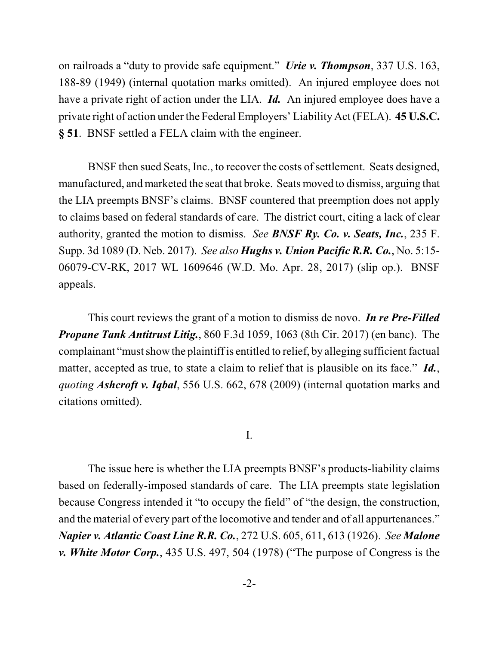on railroads a "duty to provide safe equipment." *Urie v. Thompson*, 337 U.S. 163, 188-89 (1949) (internal quotation marks omitted). An injured employee does not have a private right of action under the LIA. *Id.* An injured employee does have a private right of action under the Federal Employers' Liability Act (FELA). **45 U.S.C. § 51**. BNSF settled a FELA claim with the engineer.

BNSF then sued Seats, Inc., to recover the costs of settlement. Seats designed, manufactured, and marketed the seat that broke. Seats moved to dismiss, arguing that the LIA preempts BNSF's claims. BNSF countered that preemption does not apply to claims based on federal standards of care. The district court, citing a lack of clear authority, granted the motion to dismiss. *See BNSF Ry. Co. v. Seats, Inc.*, 235 F. Supp. 3d 1089 (D. Neb. 2017). *See also Hughs v. Union Pacific R.R. Co.*, No. 5:15- 06079-CV-RK, 2017 WL 1609646 (W.D. Mo. Apr. 28, 2017) (slip op.). BNSF appeals.

This court reviews the grant of a motion to dismiss de novo. *In re Pre-Filled Propane Tank Antitrust Litig.*, 860 F.3d 1059, 1063 (8th Cir. 2017) (en banc). The complainant "must show the plaintiffis entitled to relief, by alleging sufficient factual matter, accepted as true, to state a claim to relief that is plausible on its face." *Id.*, *quoting Ashcroft v. Iqbal*, 556 U.S. 662, 678 (2009) (internal quotation marks and citations omitted).

I.

The issue here is whether the LIA preempts BNSF's products-liability claims based on federally-imposed standards of care. The LIA preempts state legislation because Congress intended it "to occupy the field" of "the design, the construction, and the material of every part of the locomotive and tender and of all appurtenances." *Napier v. Atlantic Coast Line R.R. Co.*, 272 U.S. 605, 611, 613 (1926). *See Malone v. White Motor Corp.*, 435 U.S. 497, 504 (1978) ("The purpose of Congress is the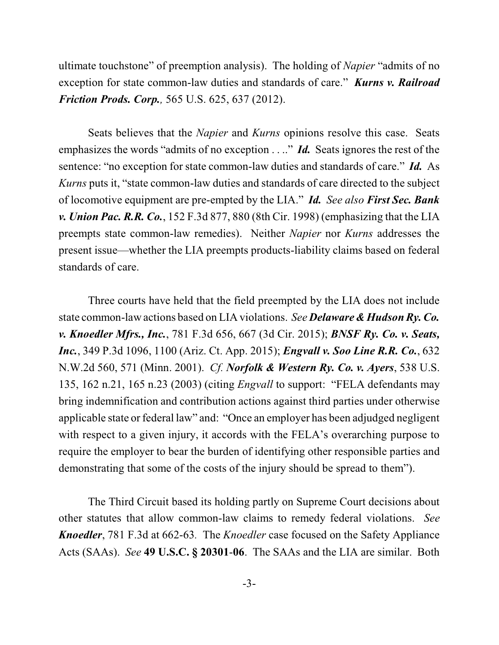ultimate touchstone" of preemption analysis). The holding of *Napier* "admits of no exception for state common-law duties and standards of care." *Kurns v. Railroad Friction Prods. Corp.,* 565 U.S. 625, 637 (2012).

Seats believes that the *Napier* and *Kurns* opinions resolve this case. Seats emphasizes the words "admits of no exception . . .." *Id.* Seats ignores the rest of the sentence: "no exception for state common-law duties and standards of care." *Id.* As *Kurns* puts it, "state common-law duties and standards of care directed to the subject of locomotive equipment are pre-empted by the LIA." *Id. See also First Sec. Bank v. Union Pac. R.R. Co.*, 152 F.3d 877, 880 (8th Cir. 1998) (emphasizing that the LIA preempts state common-law remedies). Neither *Napier* nor *Kurns* addresses the present issue—whether the LIA preempts products-liability claims based on federal standards of care.

Three courts have held that the field preempted by the LIA does not include state common-law actions based on LIA violations. *See Delaware & Hudson Ry. Co. v. Knoedler Mfrs., Inc.*, 781 F.3d 656, 667 (3d Cir. 2015); *BNSF Ry. Co. v. Seats, Inc.*, 349 P.3d 1096, 1100 (Ariz. Ct. App. 2015); *Engvall v. Soo Line R.R. Co.*, 632 N.W.2d 560, 571 (Minn. 2001). *Cf. Norfolk & Western Ry. Co. v. Ayers*, 538 U.S. 135, 162 n.21, 165 n.23 (2003) (citing *Engvall* to support: "FELA defendants may bring indemnification and contribution actions against third parties under otherwise applicable state or federal law" and: "Once an employer has been adjudged negligent with respect to a given injury, it accords with the FELA's overarching purpose to require the employer to bear the burden of identifying other responsible parties and demonstrating that some of the costs of the injury should be spread to them").

The Third Circuit based its holding partly on Supreme Court decisions about other statutes that allow common-law claims to remedy federal violations. *See Knoedler*, 781 F.3d at 662-63*.* The *Knoedler* case focused on the Safety Appliance Acts (SAAs). *See* **49 U.S.C. § 20301**-**06**. The SAAs and the LIA are similar. Both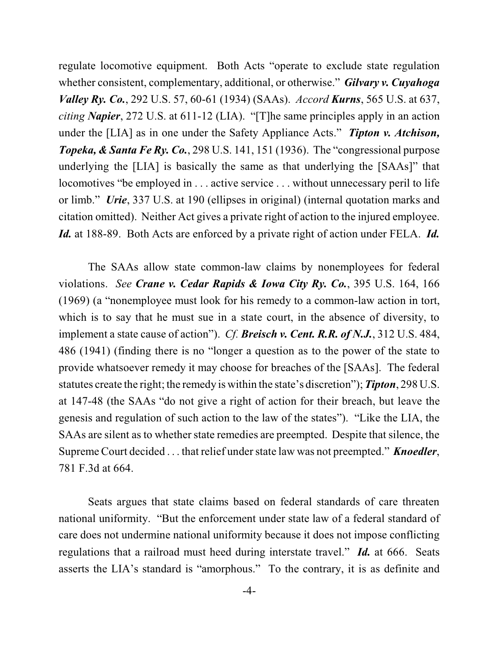regulate locomotive equipment. Both Acts "operate to exclude state regulation whether consistent, complementary, additional, or otherwise." *Gilvary v. Cuyahoga Valley Ry. Co.*, 292 U.S. 57, 60-61 (1934) (SAAs). *Accord Kurns*, 565 U.S. at 637, *citing Napier*, 272 U.S. at 611-12 (LIA). "[T]he same principles apply in an action under the [LIA] as in one under the Safety Appliance Acts." *Tipton v. Atchison, Topeka, & Santa Fe Ry. Co.*, 298 U.S. 141, 151 (1936). The "congressional purpose underlying the [LIA] is basically the same as that underlying the [SAAs]" that locomotives "be employed in ... active service ... without unnecessary peril to life or limb." *Urie*, 337 U.S. at 190 (ellipses in original) (internal quotation marks and citation omitted). Neither Act gives a private right of action to the injured employee. *Id.* at 188-89. Both Acts are enforced by a private right of action under FELA. *Id.*

The SAAs allow state common-law claims by nonemployees for federal violations. *See Crane v. Cedar Rapids & Iowa City Ry. Co.*, 395 U.S. 164, 166 (1969) (a "nonemployee must look for his remedy to a common-law action in tort, which is to say that he must sue in a state court, in the absence of diversity, to implement a state cause of action"). *Cf. Breisch v. Cent. R.R. of N.J.*, 312 U.S. 484, 486 (1941) (finding there is no "longer a question as to the power of the state to provide whatsoever remedy it may choose for breaches of the [SAAs]. The federal statutes create the right; the remedy is within the state's discretion"); *Tipton*, 298 U.S. at 147-48 (the SAAs "do not give a right of action for their breach, but leave the genesis and regulation of such action to the law of the states"). "Like the LIA, the SAAs are silent as to whether state remedies are preempted. Despite that silence, the Supreme Court decided . . . that relief under state law was not preempted." *Knoedler*, 781 F.3d at 664.

Seats argues that state claims based on federal standards of care threaten national uniformity. "But the enforcement under state law of a federal standard of care does not undermine national uniformity because it does not impose conflicting regulations that a railroad must heed during interstate travel." *Id.* at 666. Seats asserts the LIA's standard is "amorphous." To the contrary, it is as definite and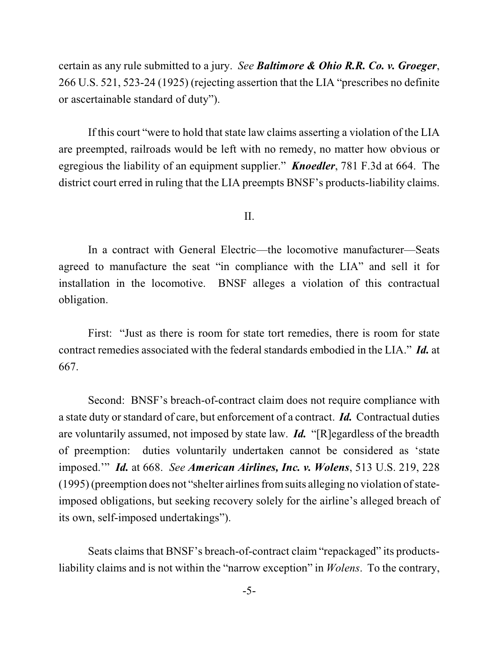certain as any rule submitted to a jury. *See Baltimore & Ohio R.R. Co. v. Groeger*, 266 U.S. 521, 523-24 (1925) (rejecting assertion that the LIA "prescribes no definite or ascertainable standard of duty").

If this court "were to hold that state law claims asserting a violation of the LIA are preempted, railroads would be left with no remedy, no matter how obvious or egregious the liability of an equipment supplier." *Knoedler*, 781 F.3d at 664. The district court erred in ruling that the LIA preempts BNSF's products-liability claims.

II.

In a contract with General Electric—the locomotive manufacturer—Seats agreed to manufacture the seat "in compliance with the LIA" and sell it for installation in the locomotive. BNSF alleges a violation of this contractual obligation.

First: "Just as there is room for state tort remedies, there is room for state contract remedies associated with the federal standards embodied in the LIA." *Id.* at 667.

Second: BNSF's breach-of-contract claim does not require compliance with a state duty or standard of care, but enforcement of a contract. *Id.* Contractual duties are voluntarily assumed, not imposed by state law. *Id.* "[R]egardless of the breadth of preemption: duties voluntarily undertaken cannot be considered as 'state imposed.'" *Id.* at 668. *See American Airlines, Inc. v. Wolens*, 513 U.S. 219, 228  $(1995)$  (preemption does not "shelter airlines from suits alleging no violation of stateimposed obligations, but seeking recovery solely for the airline's alleged breach of its own, self-imposed undertakings").

Seats claims that BNSF's breach-of-contract claim "repackaged" its productsliability claims and is not within the "narrow exception" in *Wolens*. To the contrary,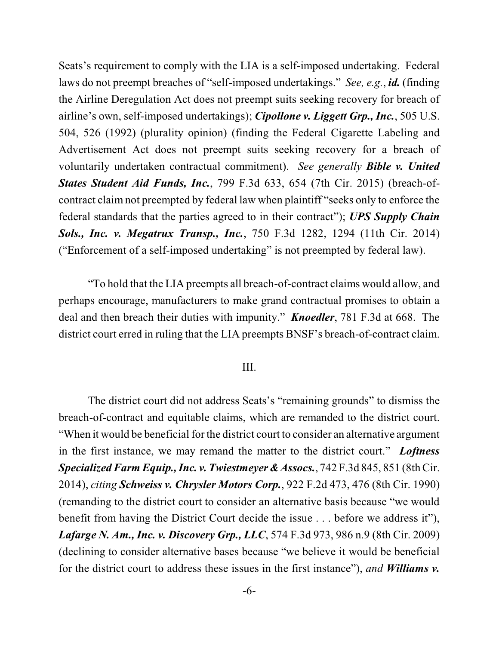Seats's requirement to comply with the LIA is a self-imposed undertaking. Federal laws do not preempt breaches of "self-imposed undertakings." *See, e.g.*, *id.* (finding the Airline Deregulation Act does not preempt suits seeking recovery for breach of airline's own, self-imposed undertakings); *Cipollone v. Liggett Grp., Inc.*, 505 U.S. 504, 526 (1992) (plurality opinion) (finding the Federal Cigarette Labeling and Advertisement Act does not preempt suits seeking recovery for a breach of voluntarily undertaken contractual commitment). *See generally Bible v. United States Student Aid Funds, Inc.*, 799 F.3d 633, 654 (7th Cir. 2015) (breach-ofcontract claim not preempted by federal law when plaintiff "seeks only to enforce the federal standards that the parties agreed to in their contract"); *UPS Supply Chain Sols., Inc. v. Megatrux Transp., Inc.*, 750 F.3d 1282, 1294 (11th Cir. 2014) ("Enforcement of a self-imposed undertaking" is not preempted by federal law).

"To hold that the LIA preempts all breach-of-contract claims would allow, and perhaps encourage, manufacturers to make grand contractual promises to obtain a deal and then breach their duties with impunity." *Knoedler*, 781 F.3d at 668. The district court erred in ruling that the LIA preempts BNSF's breach-of-contract claim.

## III.

The district court did not address Seats's "remaining grounds" to dismiss the breach-of-contract and equitable claims, which are remanded to the district court. "When it would be beneficial for the district court to consider an alternative argument in the first instance, we may remand the matter to the district court." *Loftness SpecializedFarm Equip., Inc. v. Twiestmeyer& Assocs.*, 742 F.3d 845, 851 (8thCir. 2014), *citing Schweiss v. Chrysler Motors Corp.*, 922 F.2d 473, 476 (8th Cir. 1990) (remanding to the district court to consider an alternative basis because "we would benefit from having the District Court decide the issue . . . before we address it"), *Lafarge N. Am., Inc. v. Discovery Grp., LLC*, 574 F.3d 973, 986 n.9 (8th Cir. 2009) (declining to consider alternative bases because "we believe it would be beneficial for the district court to address these issues in the first instance"), *and Williams v.*